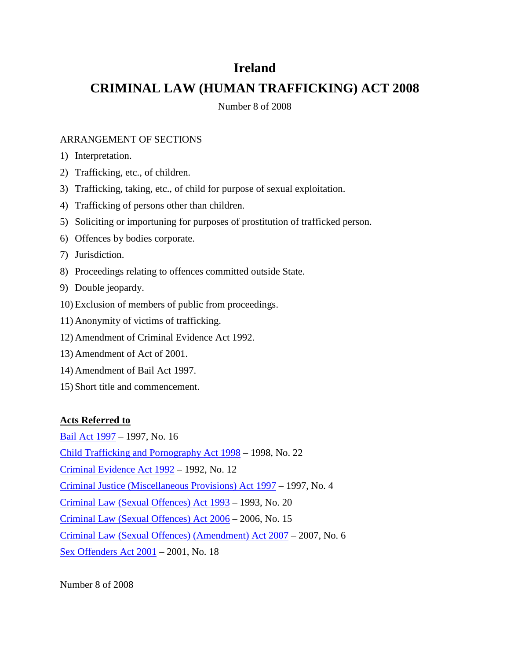### **Ireland**

# **CRIMINAL LAW (HUMAN TRAFFICKING) ACT 2008**

Number 8 of 2008

#### ARRANGEMENT OF SECTIONS

- 1) Interpretation.
- 2) Trafficking, etc., of children.
- 3) Trafficking, taking, etc., of child for purpose of sexual exploitation.
- 4) Trafficking of persons other than children.
- 5) Soliciting or importuning for purposes of prostitution of trafficked person.
- 6) Offences by bodies corporate.
- 7) Jurisdiction.
- 8) Proceedings relating to offences committed outside State.
- 9) Double jeopardy.
- 10) Exclusion of members of public from proceedings.
- 11) Anonymity of victims of trafficking.
- 12) Amendment of Criminal Evidence Act 1992.
- 13) Amendment of Act of 2001.
- 14) Amendment of Bail Act 1997.
- 15) Short title and commencement.

#### **Acts Referred to**

[Bail Act 1997](http://www.irishstatutebook.ie/1997/en/act/pub/0016/index.html) – 1997, No. 16

[Child Trafficking and Pornography Act 1998](http://www.irishstatutebook.ie/1998/en/act/pub/0022/index.html) – 1998, No. 22

[Criminal Evidence Act 1992](http://www.irishstatutebook.ie/1992/en/act/pub/0012/index.html) – 1992, No. 12

[Criminal Justice \(Miscellaneous Provisions\) Act 1997](http://www.irishstatutebook.ie/1997/en/act/pub/0004/index.html) – 1997, No. 4

[Criminal Law \(Sexual Offences\) Act 1993](http://www.irishstatutebook.ie/1993/en/act/pub/0020/index.html) – 1993, No. 20

[Criminal Law \(Sexual Offences\) Act 2006](http://www.irishstatutebook.ie/2006/en/act/pub/0015/index.html) – 2006, No. 15

[Criminal Law \(Sexual Offences\) \(Amendment\) Act 2007](http://www.irishstatutebook.ie/2007/en/act/pub/0006/index.html) – 2007, No. 6

[Sex Offenders Act 2001](http://www.irishstatutebook.ie/2001/en/act/pub/0018/index.html) – 2001, No. 18

Number 8 of 2008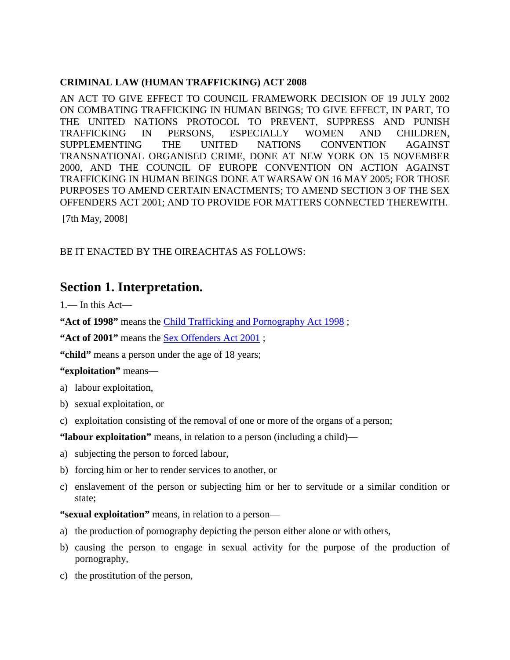#### **CRIMINAL LAW (HUMAN TRAFFICKING) ACT 2008**

AN ACT TO GIVE EFFECT TO COUNCIL FRAMEWORK DECISION OF 19 JULY 2002 ON COMBATING TRAFFICKING IN HUMAN BEINGS; TO GIVE EFFECT, IN PART, TO THE UNITED NATIONS PROTOCOL TO PREVENT, SUPPRESS AND PUNISH TRAFFICKING IN PERSONS, ESPECIALLY WOMEN AND CHILDREN, SUPPLEMENTING THE UNITED NATIONS CONVENTION AGAINST TRANSNATIONAL ORGANISED CRIME, DONE AT NEW YORK ON 15 NOVEMBER 2000, AND THE COUNCIL OF EUROPE CONVENTION ON ACTION AGAINST TRAFFICKING IN HUMAN BEINGS DONE AT WARSAW ON 16 MAY 2005; FOR THOSE PURPOSES TO AMEND CERTAIN ENACTMENTS; TO AMEND SECTION 3 OF THE SEX OFFENDERS ACT 2001; AND TO PROVIDE FOR MATTERS CONNECTED THEREWITH.

[7th May, 2008]

#### BE IT ENACTED BY THE OIREACHTAS AS FOLLOWS:

#### **Section 1. Interpretation.**

 $1 -$  In this Act-

**"Act of 1998"** means the [Child Trafficking and Pornography Act 1998](http://www.irishstatutebook.ie/1998/en/act/pub/0022/index.html) ;

"Act of 2001" means the <u>Sex Offenders Act 2001</u>;

**"child"** means a person under the age of 18 years;

#### **"exploitation"** means—

- a) labour exploitation,
- b) sexual exploitation, or
- c) exploitation consisting of the removal of one or more of the organs of a person;

**"labour exploitation"** means, in relation to a person (including a child)—

- a) subjecting the person to forced labour,
- b) forcing him or her to render services to another, or
- c) enslavement of the person or subjecting him or her to servitude or a similar condition or state;

**"sexual exploitation"** means, in relation to a person—

- a) the production of pornography depicting the person either alone or with others,
- b) causing the person to engage in sexual activity for the purpose of the production of pornography,
- c) the prostitution of the person,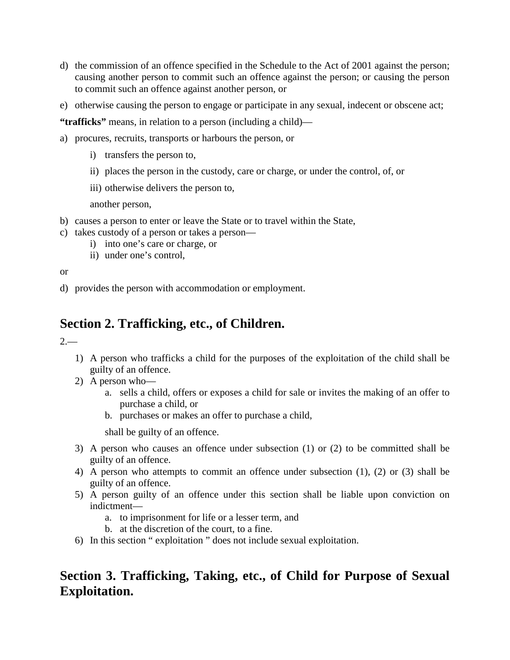- d) the commission of an offence specified in the Schedule to the Act of 2001 against the person; causing another person to commit such an offence against the person; or causing the person to commit such an offence against another person, or
- e) otherwise causing the person to engage or participate in any sexual, indecent or obscene act;

**"trafficks"** means, in relation to a person (including a child)—

- a) procures, recruits, transports or harbours the person, or
	- i) transfers the person to,
	- ii) places the person in the custody, care or charge, or under the control, of, or
	- iii) otherwise delivers the person to,

another person,

- b) causes a person to enter or leave the State or to travel within the State,
- c) takes custody of a person or takes a person
	- i) into one's care or charge, or
		- ii) under one's control,

or

d) provides the person with accommodation or employment.

# **Section 2. Trafficking, etc., of Children.**

 $2 -$ 

- 1) A person who trafficks a child for the purposes of the exploitation of the child shall be guilty of an offence.
- 2) A person who
	- a. sells a child, offers or exposes a child for sale or invites the making of an offer to purchase a child, or
	- b. purchases or makes an offer to purchase a child,

shall be guilty of an offence.

- 3) A person who causes an offence under subsection (1) or (2) to be committed shall be guilty of an offence.
- 4) A person who attempts to commit an offence under subsection (1), (2) or (3) shall be guilty of an offence.
- 5) A person guilty of an offence under this section shall be liable upon conviction on indictment
	- a. to imprisonment for life or a lesser term, and
	- b. at the discretion of the court, to a fine.
- 6) In this section " exploitation " does not include sexual exploitation.

# **Section 3. Trafficking, Taking, etc., of Child for Purpose of Sexual Exploitation.**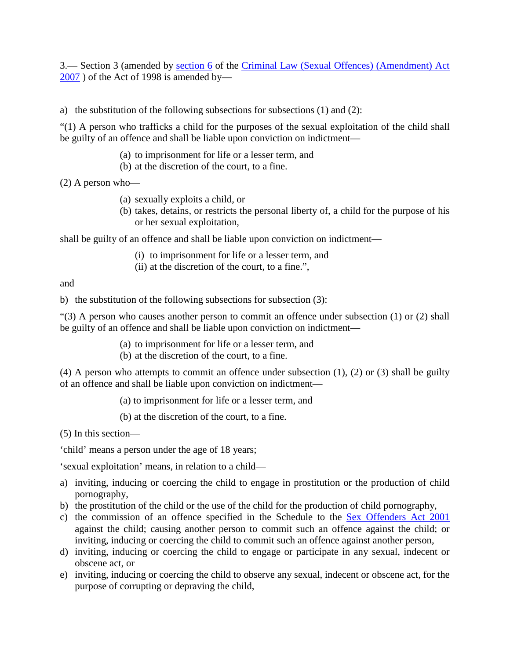3. Section 3 (amended by [section 6](http://www.irishstatutebook.ie/2007/en/act/pub/0006/sec0006.html#sec6) of the Criminal Law (Sexual Offences) (Amendment) Act  $2007$ ) of the Act of 1998 is amended by—

a) the substitution of the following subsections for subsections (1) and (2):

"(1) A person who trafficks a child for the purposes of the sexual exploitation of the child shall be guilty of an offence and shall be liable upon conviction on indictment—

- (a) to imprisonment for life or a lesser term, and
- (b) at the discretion of the court, to a fine.

(2) A person who—

- (a) sexually exploits a child, or
- (b) takes, detains, or restricts the personal liberty of, a child for the purpose of his or her sexual exploitation,

shall be guilty of an offence and shall be liable upon conviction on indictment—

- (i) to imprisonment for life or a lesser term, and
- (ii) at the discretion of the court, to a fine.",

and

b) the substitution of the following subsections for subsection (3):

"(3) A person who causes another person to commit an offence under subsection (1) or (2) shall be guilty of an offence and shall be liable upon conviction on indictment—

- (a) to imprisonment for life or a lesser term, and
- (b) at the discretion of the court, to a fine.

(4) A person who attempts to commit an offence under subsection  $(1)$ ,  $(2)$  or  $(3)$  shall be guilty of an offence and shall be liable upon conviction on indictment—

(a) to imprisonment for life or a lesser term, and

(b) at the discretion of the court, to a fine.

(5) In this section—

'child' means a person under the age of 18 years;

'sexual exploitation' means, in relation to a child—

- a) inviting, inducing or coercing the child to engage in prostitution or the production of child pornography,
- b) the prostitution of the child or the use of the child for the production of child pornography,
- c) the commission of an offence specified in the Schedule to the [Sex Offenders Act 2001](http://www.irishstatutebook.ie/2001/en/act/pub/0018/index.html) against the child; causing another person to commit such an offence against the child; or inviting, inducing or coercing the child to commit such an offence against another person,
- d) inviting, inducing or coercing the child to engage or participate in any sexual, indecent or obscene act, or
- e) inviting, inducing or coercing the child to observe any sexual, indecent or obscene act, for the purpose of corrupting or depraving the child,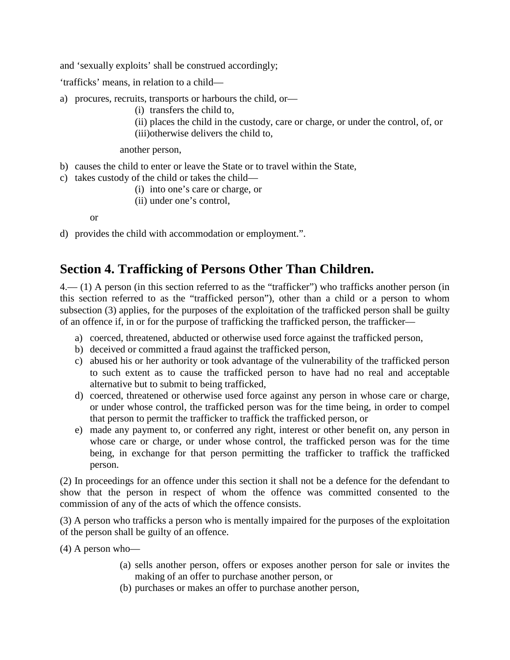and 'sexually exploits' shall be construed accordingly;

'trafficks' means, in relation to a child—

- a) procures, recruits, transports or harbours the child, or—
	- (i) transfers the child to,
	- (ii) places the child in the custody, care or charge, or under the control, of, or
	- (iii)otherwise delivers the child to,

another person,

- b) causes the child to enter or leave the State or to travel within the State,
- c) takes custody of the child or takes the child—
	- (i) into one's care or charge, or
	- (ii) under one's control,

or

d) provides the child with accommodation or employment.".

### **Section 4. Trafficking of Persons Other Than Children.**

4.— (1) A person (in this section referred to as the "trafficker") who trafficks another person (in this section referred to as the "trafficked person"), other than a child or a person to whom subsection (3) applies, for the purposes of the exploitation of the trafficked person shall be guilty of an offence if, in or for the purpose of trafficking the trafficked person, the trafficker—

- a) coerced, threatened, abducted or otherwise used force against the trafficked person,
- b) deceived or committed a fraud against the trafficked person,
- c) abused his or her authority or took advantage of the vulnerability of the trafficked person to such extent as to cause the trafficked person to have had no real and acceptable alternative but to submit to being trafficked,
- d) coerced, threatened or otherwise used force against any person in whose care or charge, or under whose control, the trafficked person was for the time being, in order to compel that person to permit the trafficker to traffick the trafficked person, or
- e) made any payment to, or conferred any right, interest or other benefit on, any person in whose care or charge, or under whose control, the trafficked person was for the time being, in exchange for that person permitting the trafficker to traffick the trafficked person.

(2) In proceedings for an offence under this section it shall not be a defence for the defendant to show that the person in respect of whom the offence was committed consented to the commission of any of the acts of which the offence consists.

(3) A person who trafficks a person who is mentally impaired for the purposes of the exploitation of the person shall be guilty of an offence.

(4) A person who—

- (a) sells another person, offers or exposes another person for sale or invites the making of an offer to purchase another person, or
- (b) purchases or makes an offer to purchase another person,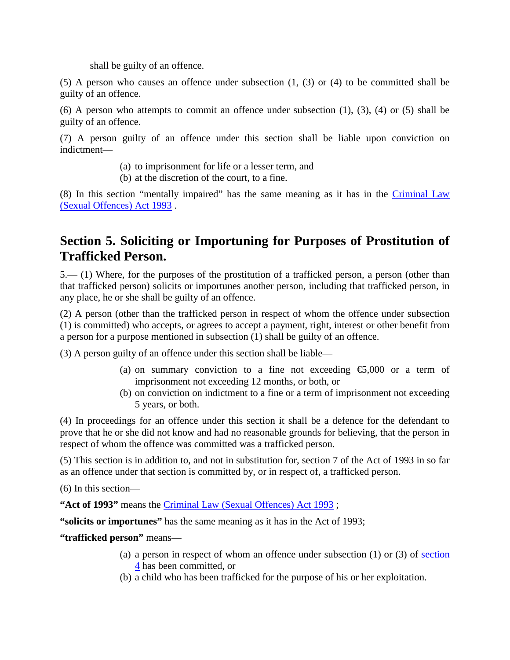shall be guilty of an offence.

(5) A person who causes an offence under subsection (1, (3) or (4) to be committed shall be guilty of an offence.

(6) A person who attempts to commit an offence under subsection (1), (3), (4) or (5) shall be guilty of an offence.

(7) A person guilty of an offence under this section shall be liable upon conviction on indictment—

- (a) to imprisonment for life or a lesser term, and
- (b) at the discretion of the court, to a fine.

(8) In this section "mentally impaired" has the same meaning as it has in the [Criminal Law](http://www.irishstatutebook.ie/1993/en/act/pub/0020/index.html)  [\(Sexual Offences\) Act 1993](http://www.irishstatutebook.ie/1993/en/act/pub/0020/index.html) .

## **Section 5. Soliciting or Importuning for Purposes of Prostitution of Trafficked Person.**

5.— (1) Where, for the purposes of the prostitution of a trafficked person, a person (other than that trafficked person) solicits or importunes another person, including that trafficked person, in any place, he or she shall be guilty of an offence.

(2) A person (other than the trafficked person in respect of whom the offence under subsection (1) is committed) who accepts, or agrees to accept a payment, right, interest or other benefit from a person for a purpose mentioned in subsection (1) shall be guilty of an offence.

(3) A person guilty of an offence under this section shall be liable—

- (a) on summary conviction to a fine not exceeding  $\epsilon$ ,000 or a term of imprisonment not exceeding 12 months, or both, or
- (b) on conviction on indictment to a fine or a term of imprisonment not exceeding 5 years, or both.

(4) In proceedings for an offence under this section it shall be a defence for the defendant to prove that he or she did not know and had no reasonable grounds for believing, that the person in respect of whom the offence was committed was a trafficked person.

(5) This section is in addition to, and not in substitution for, section 7 of the Act of 1993 in so far as an offence under that section is committed by, or in respect of, a trafficked person.

(6) In this section—

**"Act of 1993"** means the [Criminal Law \(Sexual Offences\) Act 1993](http://www.irishstatutebook.ie/1993/en/act/pub/0020/index.html) ;

**"solicits or importunes"** has the same meaning as it has in the Act of 1993;

#### **"trafficked person"** means—

- (a) a person in respect of whom an offence under subsection (1) or (3) of [section](http://www.irishstatutebook.ie/2008/en/act/pub/0008/print.html#sec4)  [4](http://www.irishstatutebook.ie/2008/en/act/pub/0008/print.html#sec4) has been committed, or
- (b) a child who has been trafficked for the purpose of his or her exploitation.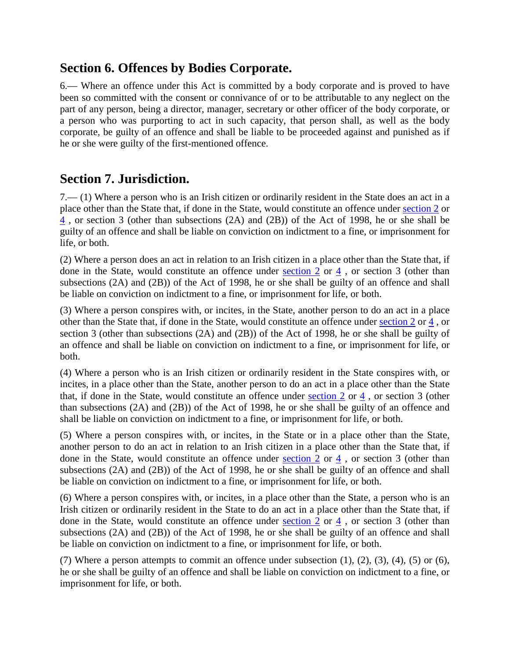## **Section 6. Offences by Bodies Corporate.**

6.— Where an offence under this Act is committed by a body corporate and is proved to have been so committed with the consent or connivance of or to be attributable to any neglect on the part of any person, being a director, manager, secretary or other officer of the body corporate, or a person who was purporting to act in such capacity, that person shall, as well as the body corporate, be guilty of an offence and shall be liable to be proceeded against and punished as if he or she were guilty of the first-mentioned offence.

### **Section 7. Jurisdiction.**

7.— (1) Where a person who is an Irish citizen or ordinarily resident in the State does an act in a place other than the State that, if done in the State, would constitute an offence under [section 2](http://www.irishstatutebook.ie/2008/en/act/pub/0008/print.html#sec2) or [4](http://www.irishstatutebook.ie/2008/en/act/pub/0008/print.html#sec4) , or section 3 (other than subsections (2A) and (2B)) of the Act of 1998, he or she shall be guilty of an offence and shall be liable on conviction on indictment to a fine, or imprisonment for life, or both.

(2) Where a person does an act in relation to an Irish citizen in a place other than the State that, if done in the State, would constitute an offence under [section 2](http://www.irishstatutebook.ie/2008/en/act/pub/0008/print.html#sec2) or [4](http://www.irishstatutebook.ie/2008/en/act/pub/0008/print.html#sec4) , or section 3 (other than subsections (2A) and (2B)) of the Act of 1998, he or she shall be guilty of an offence and shall be liable on conviction on indictment to a fine, or imprisonment for life, or both.

(3) Where a person conspires with, or incites, in the State, another person to do an act in a place other than the State that, if done in the State, would constitute an offence under [section 2](http://www.irishstatutebook.ie/2008/en/act/pub/0008/print.html#sec2) or [4](http://www.irishstatutebook.ie/2008/en/act/pub/0008/print.html#sec4) , or section 3 (other than subsections (2A) and (2B)) of the Act of 1998, he or she shall be guilty of an offence and shall be liable on conviction on indictment to a fine, or imprisonment for life, or both.

(4) Where a person who is an Irish citizen or ordinarily resident in the State conspires with, or incites, in a place other than the State, another person to do an act in a place other than the State that, if done in the State, would constitute an offence under section  $2$  or  $4$ , or section 3 (other than subsections (2A) and (2B)) of the Act of 1998, he or she shall be guilty of an offence and shall be liable on conviction on indictment to a fine, or imprisonment for life, or both.

(5) Where a person conspires with, or incites, in the State or in a place other than the State, another person to do an act in relation to an Irish citizen in a place other than the State that, if done in the State, would constitute an offence under [section 2](http://www.irishstatutebook.ie/2008/en/act/pub/0008/print.html#sec2) or [4](http://www.irishstatutebook.ie/2008/en/act/pub/0008/print.html#sec4) , or section 3 (other than subsections (2A) and (2B)) of the Act of 1998, he or she shall be guilty of an offence and shall be liable on conviction on indictment to a fine, or imprisonment for life, or both.

(6) Where a person conspires with, or incites, in a place other than the State, a person who is an Irish citizen or ordinarily resident in the State to do an act in a place other than the State that, if done in the State, would constitute an offence under [section 2](http://www.irishstatutebook.ie/2008/en/act/pub/0008/print.html#sec2) or  $\frac{4}{3}$ , or section 3 (other than subsections (2A) and (2B)) of the Act of 1998, he or she shall be guilty of an offence and shall be liable on conviction on indictment to a fine, or imprisonment for life, or both.

(7) Where a person attempts to commit an offence under subsection  $(1)$ ,  $(2)$ ,  $(3)$ ,  $(4)$ ,  $(5)$  or  $(6)$ , he or she shall be guilty of an offence and shall be liable on conviction on indictment to a fine, or imprisonment for life, or both.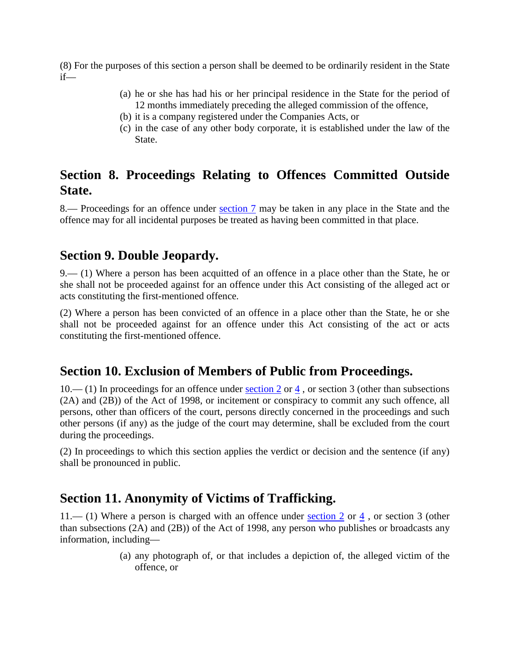(8) For the purposes of this section a person shall be deemed to be ordinarily resident in the State if—

- (a) he or she has had his or her principal residence in the State for the period of 12 months immediately preceding the alleged commission of the offence,
- (b) it is a company registered under the Companies Acts, or
- (c) in the case of any other body corporate, it is established under the law of the State.

## **Section 8. Proceedings Relating to Offences Committed Outside State.**

8.— Proceedings for an offence under [section 7](http://www.irishstatutebook.ie/2008/en/act/pub/0008/print.html#sec7) may be taken in any place in the State and the offence may for all incidental purposes be treated as having been committed in that place.

### **Section 9. Double Jeopardy.**

9.— (1) Where a person has been acquitted of an offence in a place other than the State, he or she shall not be proceeded against for an offence under this Act consisting of the alleged act or acts constituting the first-mentioned offence.

(2) Where a person has been convicted of an offence in a place other than the State, he or she shall not be proceeded against for an offence under this Act consisting of the act or acts constituting the first-mentioned offence.

### **Section 10. Exclusion of Members of Public from Proceedings.**

10.— (1) In proceedings for an offence under [section 2](http://www.irishstatutebook.ie/2008/en/act/pub/0008/print.html#sec2) or  $\frac{4}{3}$ , or section 3 (other than subsections (2A) and (2B)) of the Act of 1998, or incitement or conspiracy to commit any such offence, all persons, other than officers of the court, persons directly concerned in the proceedings and such other persons (if any) as the judge of the court may determine, shall be excluded from the court during the proceedings.

(2) In proceedings to which this section applies the verdict or decision and the sentence (if any) shall be pronounced in public.

## **Section 11. Anonymity of Victims of Trafficking.**

11.— (1) Where a person is charged with an offence under [section 2](http://www.irishstatutebook.ie/2008/en/act/pub/0008/print.html#sec2) or [4](http://www.irishstatutebook.ie/2008/en/act/pub/0008/print.html#sec4) , or section 3 (other than subsections (2A) and (2B)) of the Act of 1998, any person who publishes or broadcasts any information, including—

> (a) any photograph of, or that includes a depiction of, the alleged victim of the offence, or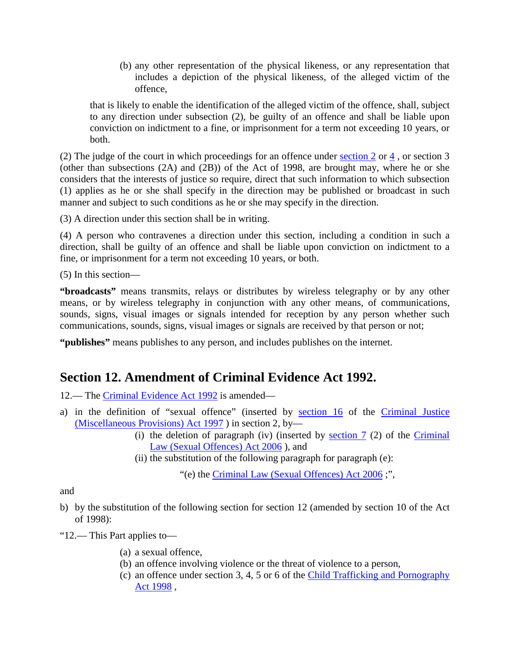(b) any other representation of the physical likeness, or any representation that includes a depiction of the physical likeness, of the alleged victim of the offence,

that is likely to enable the identification of the alleged victim of the offence, shall, subject to any direction under subsection (2), be guilty of an offence and shall be liable upon conviction on indictment to a fine, or imprisonment for a term not exceeding 10 years, or both.

(2) The judge of the court in which proceedings for an offence under [section 2](http://www.irishstatutebook.ie/2008/en/act/pub/0008/print.html#sec2) or [4](http://www.irishstatutebook.ie/2008/en/act/pub/0008/print.html#sec4) , or section 3 (other than subsections (2A) and (2B)) of the Act of 1998, are brought may, where he or she considers that the interests of justice so require, direct that such information to which subsection (1) applies as he or she shall specify in the direction may be published or broadcast in such manner and subject to such conditions as he or she may specify in the direction.

(3) A direction under this section shall be in writing.

(4) A person who contravenes a direction under this section, including a condition in such a direction, shall be guilty of an offence and shall be liable upon conviction on indictment to a fine, or imprisonment for a term not exceeding 10 years, or both.

(5) In this section—

**"broadcasts"** means transmits, relays or distributes by wireless telegraphy or by any other means, or by wireless telegraphy in conjunction with any other means, of communications, sounds, signs, visual images or signals intended for reception by any person whether such communications, sounds, signs, visual images or signals are received by that person or not;

**"publishes"** means publishes to any person, and includes publishes on the internet.

## **Section 12. Amendment of Criminal Evidence Act 1992.**

12.— The [Criminal Evidence Act 1992](http://www.irishstatutebook.ie/1992/en/act/pub/0012/index.html) is amended—

- a) in the definition of "sexual offence" (inserted by [section 16](http://www.irishstatutebook.ie/1997/en/act/pub/0004/sec0016.html#zza4y1997s16) of the [Criminal Justice](http://www.irishstatutebook.ie/1997/en/act/pub/0004/index.html)  [\(Miscellaneous Provisions\) Act 1997](http://www.irishstatutebook.ie/1997/en/act/pub/0004/index.html) ) in section 2, by—
	- (i) the deletion of paragraph (iv) (inserted by <u>section 7</u> (2) of the Criminal [Law \(Sexual Offences\) Act 2006](http://www.irishstatutebook.ie/2006/en/act/pub/0015/index.html) ), and
	- (ii) the substitution of the following paragraph for paragraph (e):

"(e) the [Criminal Law \(Sexual Offences\) Act 2006](http://www.irishstatutebook.ie/2006/en/act/pub/0015/index.html) ;",

and

b) by the substitution of the following section for section 12 (amended by section 10 of the Act of 1998):

"12.— This Part applies to—

- (a) a sexual offence,
- (b) an offence involving violence or the threat of violence to a person,
- (c) an offence under section 3, 4, 5 or 6 of the [Child Trafficking and Pornography](http://www.irishstatutebook.ie/1998/en/act/pub/0022/index.html)  [Act 1998](http://www.irishstatutebook.ie/1998/en/act/pub/0022/index.html) ,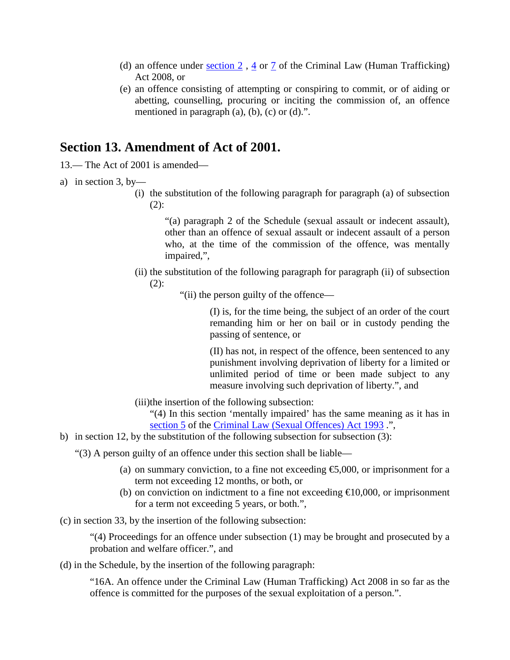- (d) an offence under [section 2](http://www.irishstatutebook.ie/2008/en/act/pub/0008/print.html#sec2) , [4](http://www.irishstatutebook.ie/2008/en/act/pub/0008/print.html#sec4) or [7](http://www.irishstatutebook.ie/2008/en/act/pub/0008/print.html#sec7) of the Criminal Law (Human Trafficking) Act 2008, or
- (e) an offence consisting of attempting or conspiring to commit, or of aiding or abetting, counselling, procuring or inciting the commission of, an offence mentioned in paragraph  $(a)$ ,  $(b)$ ,  $(c)$  or  $(d)$ .".

#### **Section 13. Amendment of Act of 2001.**

- 13.— The Act of 2001 is amended—
- a) in section 3, by-
	- (i) the substitution of the following paragraph for paragraph (a) of subsection  $(2)$ :

"(a) paragraph 2 of the Schedule (sexual assault or indecent assault), other than an offence of sexual assault or indecent assault of a person who, at the time of the commission of the offence, was mentally impaired,",

- (ii) the substitution of the following paragraph for paragraph (ii) of subsection  $(2)$ :
	- "(ii) the person guilty of the offence—

(I) is, for the time being, the subject of an order of the court remanding him or her on bail or in custody pending the passing of sentence, or

(II) has not, in respect of the offence, been sentenced to any punishment involving deprivation of liberty for a limited or unlimited period of time or been made subject to any measure involving such deprivation of liberty.", and

(iii)the insertion of the following subsection:

"(4) In this section 'mentally impaired' has the same meaning as it has in [section 5](http://www.irishstatutebook.ie/1993/en/act/pub/0020/sec0005.html#zza20y1993s5) of the [Criminal Law \(Sexual Offences\) Act 1993](http://www.irishstatutebook.ie/1993/en/act/pub/0020/index.html) .",

b) in section 12, by the substitution of the following subsection for subsection (3):

"(3) A person guilty of an offence under this section shall be liable—

- (a) on summary conviction, to a fine not exceeding  $\epsilon$ ,000, or imprisonment for a term not exceeding 12 months, or both, or
- (b) on conviction on indictment to a fine not exceeding  $\bigoplus$  0,000, or imprisonment for a term not exceeding 5 years, or both.",

(c) in section 33, by the insertion of the following subsection:

"(4) Proceedings for an offence under subsection (1) may be brought and prosecuted by a probation and welfare officer.", and

(d) in the Schedule, by the insertion of the following paragraph:

"16A. An offence under the Criminal Law (Human Trafficking) Act 2008 in so far as the offence is committed for the purposes of the sexual exploitation of a person.".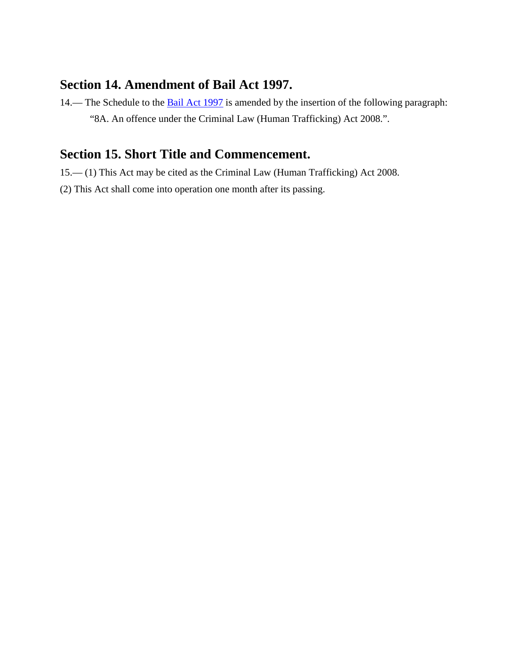### **Section 14. Amendment of Bail Act 1997.**

14.— The Schedule to the [Bail Act 1997](http://www.irishstatutebook.ie/1997/en/act/pub/0016/index.html) is amended by the insertion of the following paragraph: "8A. An offence under the Criminal Law (Human Trafficking) Act 2008.".

# **Section 15. Short Title and Commencement.**

- 15.— (1) This Act may be cited as the Criminal Law (Human Trafficking) Act 2008.
- (2) This Act shall come into operation one month after its passing.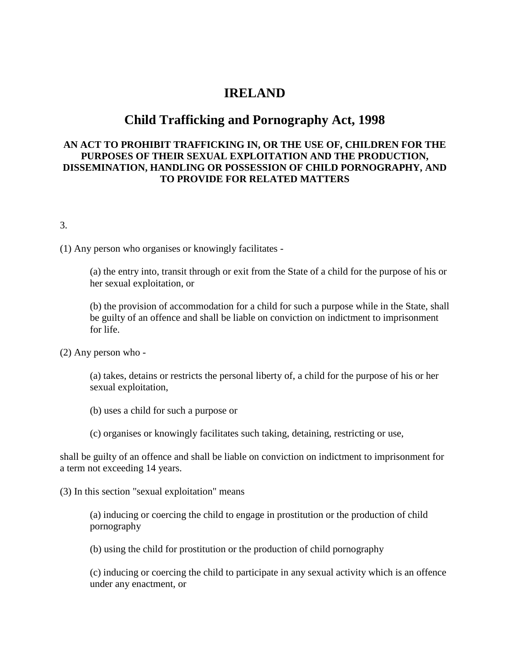#### **IRELAND**

#### **Child Trafficking and Pornography Act, 1998**

#### **AN ACT TO PROHIBIT TRAFFICKING IN, OR THE USE OF, CHILDREN FOR THE PURPOSES OF THEIR SEXUAL EXPLOITATION AND THE PRODUCTION, DISSEMINATION, HANDLING OR POSSESSION OF CHILD PORNOGRAPHY, AND TO PROVIDE FOR RELATED MATTERS**

3.

(1) Any person who organises or knowingly facilitates -

(a) the entry into, transit through or exit from the State of a child for the purpose of his or her sexual exploitation, or

(b) the provision of accommodation for a child for such a purpose while in the State, shall be guilty of an offence and shall be liable on conviction on indictment to imprisonment for life.

(2) Any person who -

(a) takes, detains or restricts the personal liberty of, a child for the purpose of his or her sexual exploitation,

(b) uses a child for such a purpose or

(c) organises or knowingly facilitates such taking, detaining, restricting or use,

shall be guilty of an offence and shall be liable on conviction on indictment to imprisonment for a term not exceeding 14 years.

(3) In this section "sexual exploitation" means

(a) inducing or coercing the child to engage in prostitution or the production of child pornography

(b) using the child for prostitution or the production of child pornography

(c) inducing or coercing the child to participate in any sexual activity which is an offence under any enactment, or